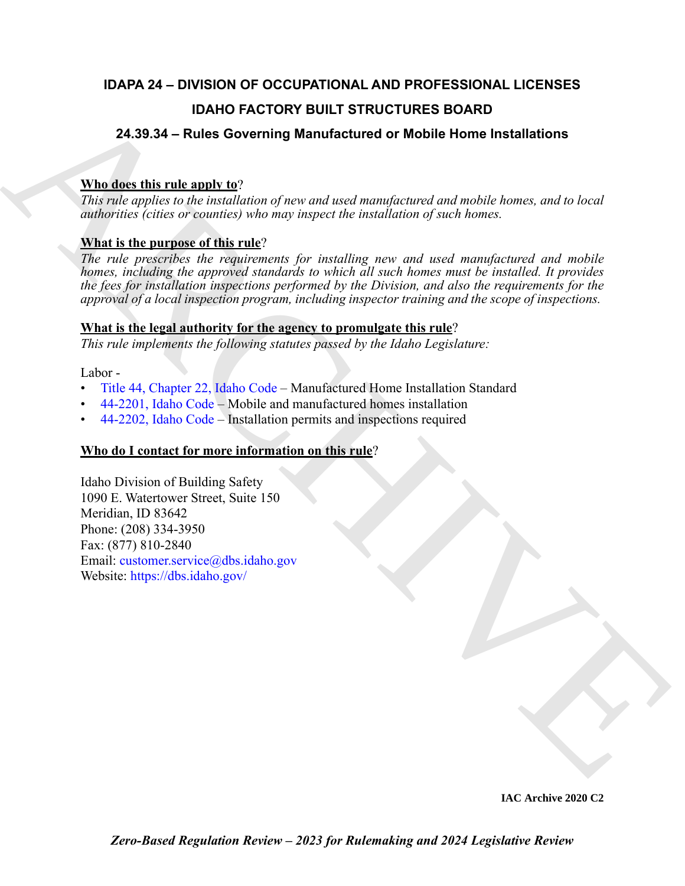# **IDAPA 24 – DIVISION OF OCCUPATIONAL AND PROFESSIONAL LICENSES IDAHO FACTORY BUILT STRUCTURES BOARD**

# **24.39.34 – Rules Governing Manufactured or Mobile Home Installations**

# **Who does this rule apply to**?

*This rule applies to the installation of new and used manufactured and mobile homes, and to local authorities (cities or counties) who may inspect the installation of such homes.*

# **What is the purpose of this rule**?

**10.4HO FA[C](https://legislature.idaho.gov/statutesrules/idstat/Title44/T44CH22/)TORY BUILT STRUCTURES BOARD**<br> **24.33.4 – Ruise Governing Manufactured or Mobile Home Installations**<br> **24.33.4 – Ruise Governing Manufactured or Mobile Home Installations**<br>
This relations (citation of each contri *The rule prescribes the requirements for installing new and used manufactured and mobile homes, including the approved standards to which all such homes must be installed. It provides the fees for installation inspections performed by the Division, and also the requirements for the approval of a local inspection program, including inspector training and the scope of inspections.* 

# **What is the legal authority for the agency to promulgate this rule**?

*This rule implements the following statutes passed by the Idaho Legislature:*

Labor -

- Title 44, Chapter 22, Idaho Code Manufactured Home Installation Standard
- 44-2201, Idaho Code Mobile and manufactured homes installation
- 44-2202, Idaho Code Installation permits and inspections required

# **Who do I contact for more information on this rule**?

Idaho Division of Building Safety 1090 E. Watertower Street, Suite 150 Meridian, ID 83642 Phone: (208) 334-3950 Fax: (877) 810-2840 Email: customer.service@dbs.idaho.gov Website: https://dbs.idaho.gov/

**IAC Archive 2020 C2**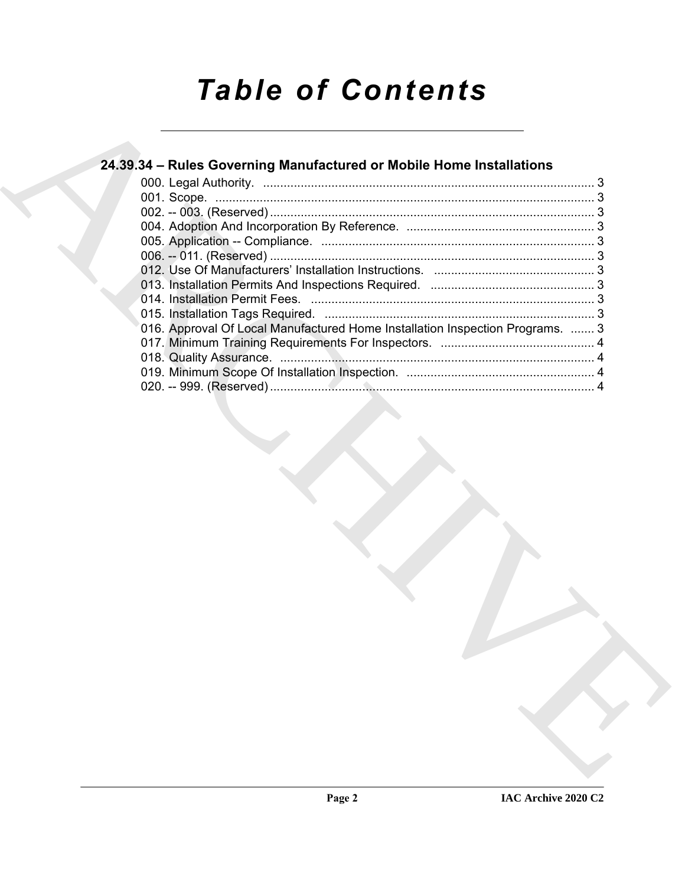# *Table of Contents*

| 24.39.34 - Rules Governing Manufactured or Mobile Home Installations          |  |
|-------------------------------------------------------------------------------|--|
|                                                                               |  |
|                                                                               |  |
|                                                                               |  |
|                                                                               |  |
|                                                                               |  |
|                                                                               |  |
|                                                                               |  |
|                                                                               |  |
|                                                                               |  |
|                                                                               |  |
| 016. Approval Of Local Manufactured Home Installation Inspection Programs.  3 |  |
|                                                                               |  |
|                                                                               |  |
|                                                                               |  |
|                                                                               |  |
|                                                                               |  |
|                                                                               |  |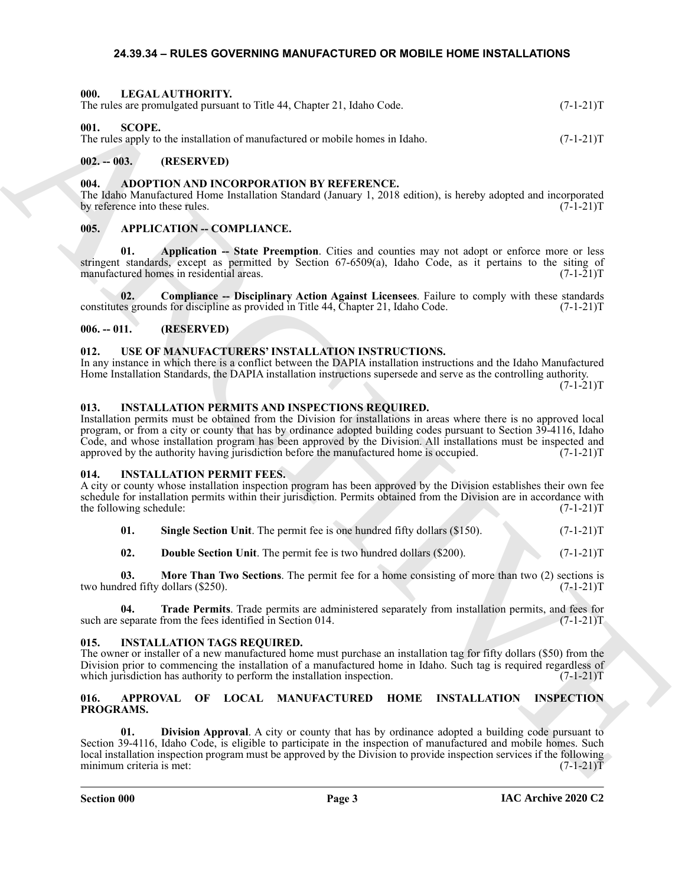#### <span id="page-2-25"></span><span id="page-2-1"></span><span id="page-2-0"></span>**24.39.34 – RULES GOVERNING MANUFACTURED OR MOBILE HOME INSTALLATIONS**

| 000.              | LEGAL AUTHORITY.<br>The rules are promulgated pursuant to Title 44, Chapter 21, Idaho Code.                                                                                                                                                                                                                                                                                                                                                                                                                     |                                                                            |                                                                                                  | $(7-1-21)T$       |  |
|-------------------|-----------------------------------------------------------------------------------------------------------------------------------------------------------------------------------------------------------------------------------------------------------------------------------------------------------------------------------------------------------------------------------------------------------------------------------------------------------------------------------------------------------------|----------------------------------------------------------------------------|--------------------------------------------------------------------------------------------------|-------------------|--|
| 001.              | <b>SCOPE.</b><br>The rules apply to the installation of manufactured or mobile homes in Idaho.                                                                                                                                                                                                                                                                                                                                                                                                                  |                                                                            |                                                                                                  | $(7-1-21)T$       |  |
| $002. - 003.$     | (RESERVED)                                                                                                                                                                                                                                                                                                                                                                                                                                                                                                      |                                                                            |                                                                                                  |                   |  |
| 004.              | ADOPTION AND INCORPORATION BY REFERENCE.<br>The Idaho Manufactured Home Installation Standard (January 1, 2018 edition), is hereby adopted and incorporated<br>by reference into these rules.                                                                                                                                                                                                                                                                                                                   |                                                                            |                                                                                                  | $(7-1-21)T$       |  |
| 005.              | <b>APPLICATION - COMPLIANCE.</b>                                                                                                                                                                                                                                                                                                                                                                                                                                                                                |                                                                            |                                                                                                  |                   |  |
| 01.               | stringent standards, except as permitted by Section 67-6509(a), Idaho Code, as it pertains to the siting of<br>manufactured homes in residential areas.                                                                                                                                                                                                                                                                                                                                                         |                                                                            | Application -- State Preemption. Cities and counties may not adopt or enforce more or less       | $(7-1-21)T$       |  |
| 02.               | constitutes grounds for discipline as provided in Title 44, Chapter 21, Idaho Code.                                                                                                                                                                                                                                                                                                                                                                                                                             |                                                                            | Compliance -- Disciplinary Action Against Licensees. Failure to comply with these standards      | $(7-1-21)T$       |  |
| $006. - 011.$     | (RESERVED)                                                                                                                                                                                                                                                                                                                                                                                                                                                                                                      |                                                                            |                                                                                                  |                   |  |
| 012.              | USE OF MANUFACTURERS' INSTALLATION INSTRUCTIONS.<br>In any instance in which there is a conflict between the DAPIA installation instructions and the Idaho Manufactured<br>Home Installation Standards, the DAPIA installation instructions supersede and serve as the controlling authority.                                                                                                                                                                                                                   |                                                                            |                                                                                                  | $(7-1-21)T$       |  |
| 013.              | <b>INSTALLATION PERMITS AND INSPECTIONS REQUIRED.</b><br>Installation permits must be obtained from the Division for installations in areas where there is no approved local<br>program, or from a city or county that has by ordinance adopted building codes pursuant to Section 39-4116, Idaho<br>Code, and whose installation program has been approved by the Division. All installations must be inspected and<br>approved by the authority having jurisdiction before the manufactured home is occupied. |                                                                            |                                                                                                  | $(7-1-21)T$       |  |
| 014.              | <b>INSTALLATION PERMIT FEES.</b><br>A city or county whose installation inspection program has been approved by the Division establishes their own fee<br>schedule for installation permits within their jurisdiction. Permits obtained from the Division are in accordance with<br>the following schedule:                                                                                                                                                                                                     |                                                                            |                                                                                                  | $(7-1-21)T$       |  |
| 01.               |                                                                                                                                                                                                                                                                                                                                                                                                                                                                                                                 | Single Section Unit. The permit fee is one hundred fifty dollars (\$150).  |                                                                                                  | $(7-1-21)T$       |  |
| 02.               |                                                                                                                                                                                                                                                                                                                                                                                                                                                                                                                 | <b>Double Section Unit.</b> The permit fee is two hundred dollars (\$200). |                                                                                                  | $(7-1-21)T$       |  |
| 03.               | two hundred fifty dollars (\$250).                                                                                                                                                                                                                                                                                                                                                                                                                                                                              |                                                                            | More Than Two Sections. The permit fee for a home consisting of more than two (2) sections is    | $(7-1-21)T$       |  |
| 04.               | such are separate from the fees identified in Section 014.                                                                                                                                                                                                                                                                                                                                                                                                                                                      |                                                                            | Trade Permits. Trade permits are administered separately from installation permits, and fees for | $(7-1-21)T$       |  |
| 015.              | <b>INSTALLATION TAGS REQUIRED.</b><br>The owner or installer of a new manufactured home must purchase an installation tag for fifty dollars (\$50) from the<br>Division prior to commencing the installation of a manufactured home in Idaho. Such tag is required regardless of<br>which jurisdiction has authority to perform the installation inspection.                                                                                                                                                    |                                                                            |                                                                                                  | $(7-1-21)T$       |  |
| 016.<br>PROGRAMS. | <b>APPROVAL</b>                                                                                                                                                                                                                                                                                                                                                                                                                                                                                                 | OF LOCAL MANUFACTURED                                                      | <b>HOME</b><br><b>INSTALLATION</b>                                                               | <b>INSPECTION</b> |  |
| 01.               | Section 39-4116, Idaho Code, is eligible to participate in the inspection of manufactured and mobile homes. Such<br>local installation inspection program must be approved by the Division to provide inspection services if the following<br>minimum criteria is met:                                                                                                                                                                                                                                          |                                                                            | Division Approval. A city or county that has by ordinance adopted a building code pursuant to    | $(7-1-21)T$       |  |

# <span id="page-2-26"></span><span id="page-2-3"></span><span id="page-2-2"></span>**002. -- 003. (RESERVED)**

### <span id="page-2-12"></span><span id="page-2-4"></span>**004. ADOPTION AND INCORPORATION BY REFERENCE.**

#### <span id="page-2-14"></span><span id="page-2-13"></span><span id="page-2-5"></span>005. **APPLICATION -- COMPLIANCE.**

#### <span id="page-2-15"></span><span id="page-2-6"></span>**006. -- 011. (RESERVED)**

#### <span id="page-2-27"></span><span id="page-2-7"></span>**012. USE OF MANUFACTURERS' INSTALLATION INSTRUCTIONS.**

#### <span id="page-2-23"></span><span id="page-2-8"></span>**013. INSTALLATION PERMITS AND INSPECTIONS REQUIRED.**

#### <span id="page-2-18"></span><span id="page-2-9"></span>**014. INSTALLATION PERMIT FEES.**

<span id="page-2-22"></span><span id="page-2-21"></span><span id="page-2-20"></span><span id="page-2-19"></span>

| 01. | <b>Single Section Unit.</b> The permit fee is one hundred fifty dollars (\$150). |  |  |  | $(7-1-21)T$ |
|-----|----------------------------------------------------------------------------------|--|--|--|-------------|
|-----|----------------------------------------------------------------------------------|--|--|--|-------------|

#### <span id="page-2-24"></span><span id="page-2-10"></span>**015. INSTALLATION TAGS REQUIRED.**

#### <span id="page-2-17"></span><span id="page-2-16"></span><span id="page-2-11"></span>**016. APPROVAL OF LOCAL MANUFACTURED HOME INSTALLATION INSPECTION PROGRAMS.**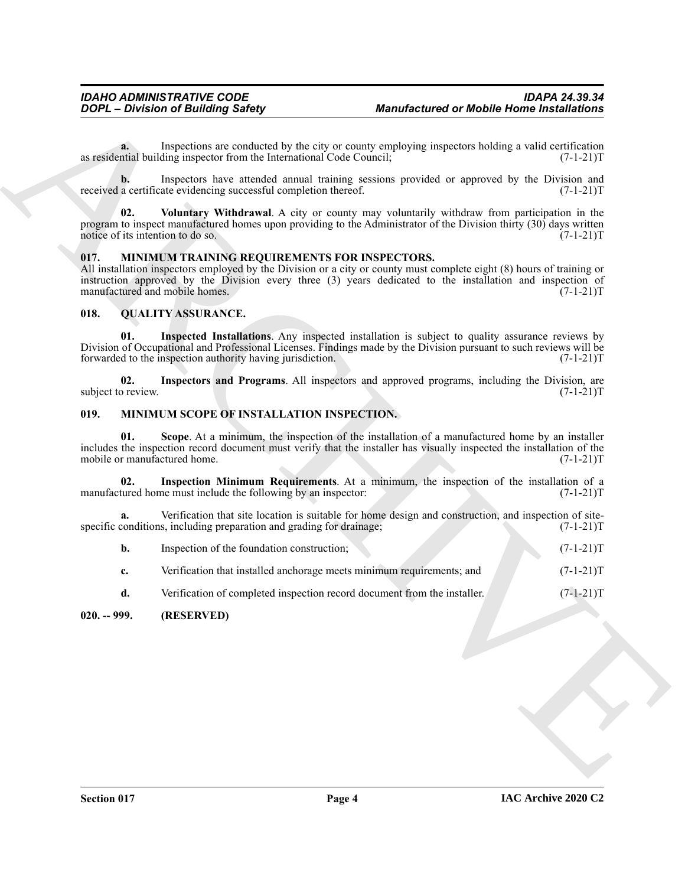#### <span id="page-3-8"></span><span id="page-3-4"></span><span id="page-3-0"></span>**017. MINIMUM TRAINING REQUIREMENTS FOR INSPECTORS.**

#### <span id="page-3-10"></span><span id="page-3-9"></span><span id="page-3-1"></span>**018. QUALITY ASSURANCE.**

#### <span id="page-3-11"></span><span id="page-3-7"></span><span id="page-3-6"></span><span id="page-3-5"></span><span id="page-3-3"></span><span id="page-3-2"></span>**019. MINIMUM SCOPE OF INSTALLATION INSPECTION.**

| Inspections are conducted by the city or county employing inspectors holding a valid certification<br>a.<br>as residential building inspector from the International Code Council;<br>Inspectors have attended annual training sessions provided or approved by the Division and<br>b.<br>received a certificate evidencing successful completion thereof.<br>02.<br>Voluntary Withdrawal. A city or county may voluntarily withdraw from participation in the<br>program to inspect manufactured homes upon providing to the Administrator of the Division thirty (30) days written<br>notice of its intention to do so.<br>MINIMUM TRAINING REQUIREMENTS FOR INSPECTORS.<br>017.<br>All installation inspectors employed by the Division or a city or county must complete eight (8) hours of training or<br>instruction approved by the Division every three (3) years dedicated to the installation and inspection of<br>manufactured and mobile homes.<br>018.<br><b>QUALITY ASSURANCE.</b><br>01.<br>Inspected Installations. Any inspected installation is subject to quality assurance reviews by<br>Division of Occupational and Professional Licenses. Findings made by the Division pursuant to such reviews will be<br>forwarded to the inspection authority having jurisdiction.<br>Inspectors and Programs. All inspectors and approved programs, including the Division, are<br>02.<br>subject to review.<br>019.<br><b>MINIMUM SCOPE OF INSTALLATION INSPECTION.</b><br>Scope. At a minimum, the inspection of the installation of a manufactured home by an installer<br>01.<br>includes the inspection record document must verify that the installer has visually inspected the installation of the<br>mobile or manufactured home.<br>Inspection Minimum Requirements. At a minimum, the inspection of the installation of a<br>02.<br>manufactured home must include the following by an inspector:<br>Verification that site location is suitable for home design and construction, and inspection of site-<br>a.<br>specific conditions, including preparation and grading for drainage;<br>b.<br>Inspection of the foundation construction;<br>Verification that installed anchorage meets minimum requirements; and<br>c. | $(7-1-21)T$<br>$(7-1-21)T$<br>$(7-1-21)T$<br>$(7-1-21)T$<br>$(7-1-21)T$<br>$(7-1-21)T$ |
|----------------------------------------------------------------------------------------------------------------------------------------------------------------------------------------------------------------------------------------------------------------------------------------------------------------------------------------------------------------------------------------------------------------------------------------------------------------------------------------------------------------------------------------------------------------------------------------------------------------------------------------------------------------------------------------------------------------------------------------------------------------------------------------------------------------------------------------------------------------------------------------------------------------------------------------------------------------------------------------------------------------------------------------------------------------------------------------------------------------------------------------------------------------------------------------------------------------------------------------------------------------------------------------------------------------------------------------------------------------------------------------------------------------------------------------------------------------------------------------------------------------------------------------------------------------------------------------------------------------------------------------------------------------------------------------------------------------------------------------------------------------------------------------------------------------------------------------------------------------------------------------------------------------------------------------------------------------------------------------------------------------------------------------------------------------------------------------------------------------------------------------------------------------------------------------------------------------------------------------------------|----------------------------------------------------------------------------------------|
|                                                                                                                                                                                                                                                                                                                                                                                                                                                                                                                                                                                                                                                                                                                                                                                                                                                                                                                                                                                                                                                                                                                                                                                                                                                                                                                                                                                                                                                                                                                                                                                                                                                                                                                                                                                                                                                                                                                                                                                                                                                                                                                                                                                                                                                    |                                                                                        |
|                                                                                                                                                                                                                                                                                                                                                                                                                                                                                                                                                                                                                                                                                                                                                                                                                                                                                                                                                                                                                                                                                                                                                                                                                                                                                                                                                                                                                                                                                                                                                                                                                                                                                                                                                                                                                                                                                                                                                                                                                                                                                                                                                                                                                                                    |                                                                                        |
|                                                                                                                                                                                                                                                                                                                                                                                                                                                                                                                                                                                                                                                                                                                                                                                                                                                                                                                                                                                                                                                                                                                                                                                                                                                                                                                                                                                                                                                                                                                                                                                                                                                                                                                                                                                                                                                                                                                                                                                                                                                                                                                                                                                                                                                    |                                                                                        |
|                                                                                                                                                                                                                                                                                                                                                                                                                                                                                                                                                                                                                                                                                                                                                                                                                                                                                                                                                                                                                                                                                                                                                                                                                                                                                                                                                                                                                                                                                                                                                                                                                                                                                                                                                                                                                                                                                                                                                                                                                                                                                                                                                                                                                                                    |                                                                                        |
|                                                                                                                                                                                                                                                                                                                                                                                                                                                                                                                                                                                                                                                                                                                                                                                                                                                                                                                                                                                                                                                                                                                                                                                                                                                                                                                                                                                                                                                                                                                                                                                                                                                                                                                                                                                                                                                                                                                                                                                                                                                                                                                                                                                                                                                    |                                                                                        |
|                                                                                                                                                                                                                                                                                                                                                                                                                                                                                                                                                                                                                                                                                                                                                                                                                                                                                                                                                                                                                                                                                                                                                                                                                                                                                                                                                                                                                                                                                                                                                                                                                                                                                                                                                                                                                                                                                                                                                                                                                                                                                                                                                                                                                                                    |                                                                                        |
|                                                                                                                                                                                                                                                                                                                                                                                                                                                                                                                                                                                                                                                                                                                                                                                                                                                                                                                                                                                                                                                                                                                                                                                                                                                                                                                                                                                                                                                                                                                                                                                                                                                                                                                                                                                                                                                                                                                                                                                                                                                                                                                                                                                                                                                    |                                                                                        |
|                                                                                                                                                                                                                                                                                                                                                                                                                                                                                                                                                                                                                                                                                                                                                                                                                                                                                                                                                                                                                                                                                                                                                                                                                                                                                                                                                                                                                                                                                                                                                                                                                                                                                                                                                                                                                                                                                                                                                                                                                                                                                                                                                                                                                                                    |                                                                                        |
|                                                                                                                                                                                                                                                                                                                                                                                                                                                                                                                                                                                                                                                                                                                                                                                                                                                                                                                                                                                                                                                                                                                                                                                                                                                                                                                                                                                                                                                                                                                                                                                                                                                                                                                                                                                                                                                                                                                                                                                                                                                                                                                                                                                                                                                    | $(7-1-21)T$                                                                            |
|                                                                                                                                                                                                                                                                                                                                                                                                                                                                                                                                                                                                                                                                                                                                                                                                                                                                                                                                                                                                                                                                                                                                                                                                                                                                                                                                                                                                                                                                                                                                                                                                                                                                                                                                                                                                                                                                                                                                                                                                                                                                                                                                                                                                                                                    | $(7-1-21)T$                                                                            |
|                                                                                                                                                                                                                                                                                                                                                                                                                                                                                                                                                                                                                                                                                                                                                                                                                                                                                                                                                                                                                                                                                                                                                                                                                                                                                                                                                                                                                                                                                                                                                                                                                                                                                                                                                                                                                                                                                                                                                                                                                                                                                                                                                                                                                                                    | $(7-1-21)T$                                                                            |
|                                                                                                                                                                                                                                                                                                                                                                                                                                                                                                                                                                                                                                                                                                                                                                                                                                                                                                                                                                                                                                                                                                                                                                                                                                                                                                                                                                                                                                                                                                                                                                                                                                                                                                                                                                                                                                                                                                                                                                                                                                                                                                                                                                                                                                                    | $(7-1-21)T$                                                                            |
|                                                                                                                                                                                                                                                                                                                                                                                                                                                                                                                                                                                                                                                                                                                                                                                                                                                                                                                                                                                                                                                                                                                                                                                                                                                                                                                                                                                                                                                                                                                                                                                                                                                                                                                                                                                                                                                                                                                                                                                                                                                                                                                                                                                                                                                    | $(7-1-21)T$                                                                            |
| Verification of completed inspection record document from the installer.<br>d.                                                                                                                                                                                                                                                                                                                                                                                                                                                                                                                                                                                                                                                                                                                                                                                                                                                                                                                                                                                                                                                                                                                                                                                                                                                                                                                                                                                                                                                                                                                                                                                                                                                                                                                                                                                                                                                                                                                                                                                                                                                                                                                                                                     | $(7-1-21)T$                                                                            |
| $020. - 999.$<br>(RESERVED)                                                                                                                                                                                                                                                                                                                                                                                                                                                                                                                                                                                                                                                                                                                                                                                                                                                                                                                                                                                                                                                                                                                                                                                                                                                                                                                                                                                                                                                                                                                                                                                                                                                                                                                                                                                                                                                                                                                                                                                                                                                                                                                                                                                                                        |                                                                                        |
|                                                                                                                                                                                                                                                                                                                                                                                                                                                                                                                                                                                                                                                                                                                                                                                                                                                                                                                                                                                                                                                                                                                                                                                                                                                                                                                                                                                                                                                                                                                                                                                                                                                                                                                                                                                                                                                                                                                                                                                                                                                                                                                                                                                                                                                    |                                                                                        |
|                                                                                                                                                                                                                                                                                                                                                                                                                                                                                                                                                                                                                                                                                                                                                                                                                                                                                                                                                                                                                                                                                                                                                                                                                                                                                                                                                                                                                                                                                                                                                                                                                                                                                                                                                                                                                                                                                                                                                                                                                                                                                                                                                                                                                                                    |                                                                                        |
|                                                                                                                                                                                                                                                                                                                                                                                                                                                                                                                                                                                                                                                                                                                                                                                                                                                                                                                                                                                                                                                                                                                                                                                                                                                                                                                                                                                                                                                                                                                                                                                                                                                                                                                                                                                                                                                                                                                                                                                                                                                                                                                                                                                                                                                    |                                                                                        |
|                                                                                                                                                                                                                                                                                                                                                                                                                                                                                                                                                                                                                                                                                                                                                                                                                                                                                                                                                                                                                                                                                                                                                                                                                                                                                                                                                                                                                                                                                                                                                                                                                                                                                                                                                                                                                                                                                                                                                                                                                                                                                                                                                                                                                                                    |                                                                                        |
|                                                                                                                                                                                                                                                                                                                                                                                                                                                                                                                                                                                                                                                                                                                                                                                                                                                                                                                                                                                                                                                                                                                                                                                                                                                                                                                                                                                                                                                                                                                                                                                                                                                                                                                                                                                                                                                                                                                                                                                                                                                                                                                                                                                                                                                    |                                                                                        |
|                                                                                                                                                                                                                                                                                                                                                                                                                                                                                                                                                                                                                                                                                                                                                                                                                                                                                                                                                                                                                                                                                                                                                                                                                                                                                                                                                                                                                                                                                                                                                                                                                                                                                                                                                                                                                                                                                                                                                                                                                                                                                                                                                                                                                                                    |                                                                                        |